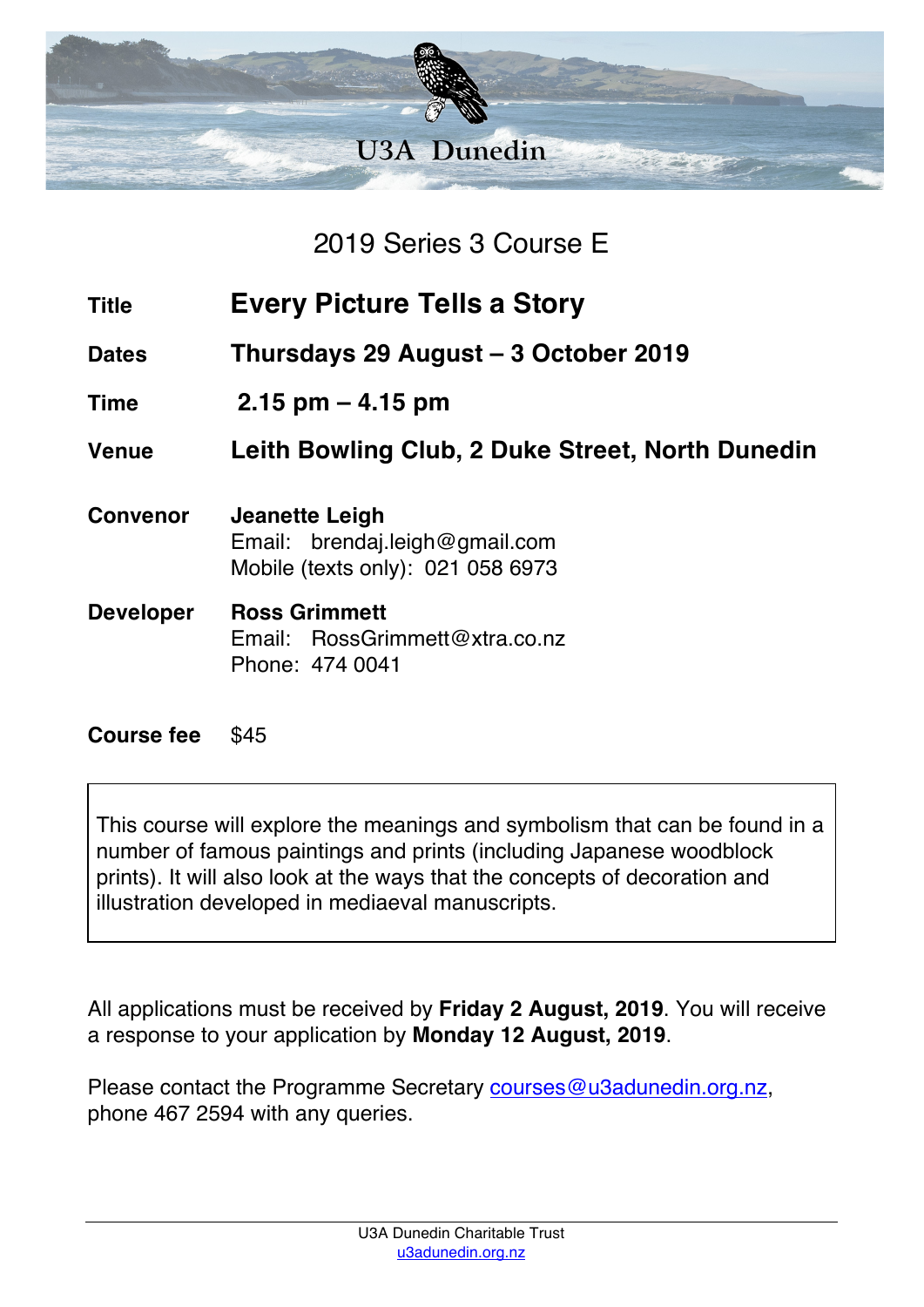

2019 Series 3 Course E

- **Title Every Picture Tells a Story**
- **Dates Thursdays 29 August – 3 October 2019**
- **Time 2.15 pm – 4.15 pm**

**Venue Leith Bowling Club, 2 Duke Street, North Dunedin**

- **Convenor Jeanette Leigh** Email: brendaj.leigh@gmail.com Mobile (texts only): 021 058 6973
- **Developer Ross Grimmett** Email: RossGrimmett@xtra.co.nz Phone: 474 0041

## **Course fee** \$45

This course will explore the meanings and symbolism that can be found in a number of famous paintings and prints (including Japanese woodblock prints). It will also look at the ways that the concepts of decoration and illustration developed in mediaeval manuscripts.

All applications must be received by **Friday 2 August, 2019**. You will receive a response to your application by **Monday 12 August, 2019**.

Please contact the Programme Secretary courses@u3adunedin.org.nz, phone 467 2594 with any queries.